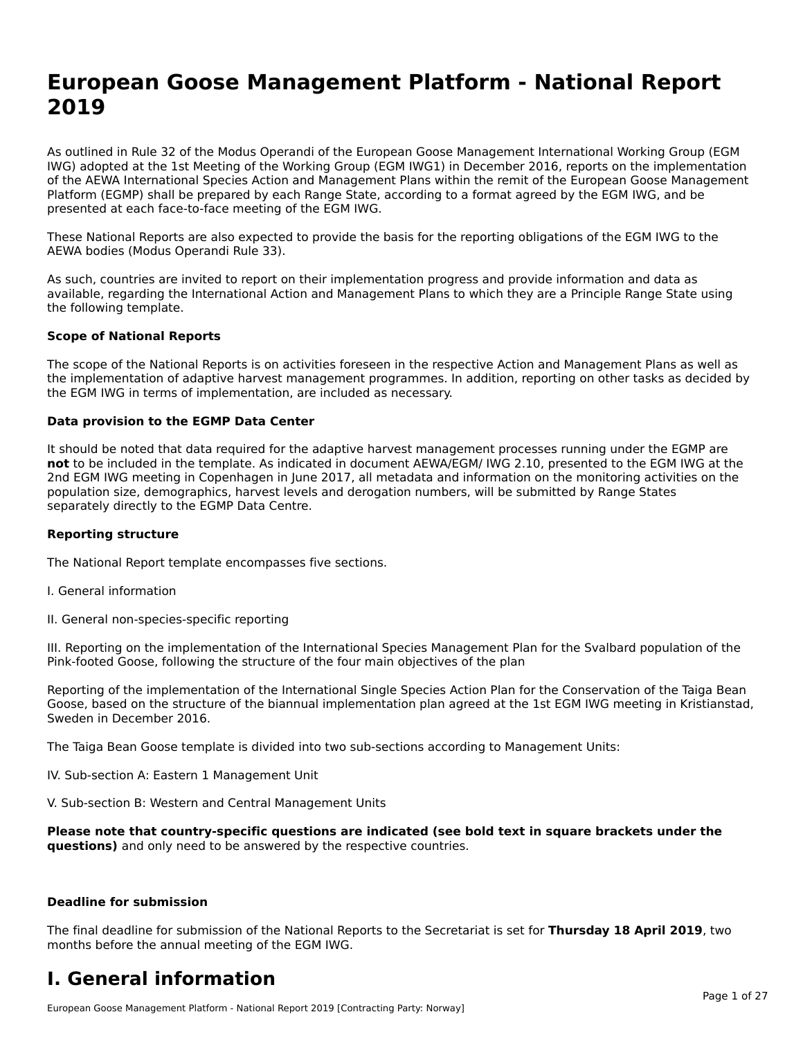# **European Goose Management Platform - National Report**European Goose Management Platform - National **Neport**<br>2010

As outlined in Rule 32 of the Modus Operandi of the European Goose Management International Working Group (EGM As buthled in Rule 32 of the Modus Operandi of the Lufopean Goose Management International Working Group (LGM<br>IWG) adopted at the 1st Meeting of the Working Group (EGM IWG1) in December 2016, reports on the implementation of the AEWA International Species Action and Management Plans within the remit of the European Goose Management Platform (EGMP) shall be prepared by each Range State, according to a format agreed by the EGM IWG, and be presented at each face-to-face meeting of the EGM IWG.

These National Reports are also expected to provide the basis for the reporting obligations of the EGM IWG to the AEWA bodies (Modus Operandi Rule 33).

As such, countries are invited to report on their implementation progress and provide information and data as<br>available, regarding the International Action and Management Plans to which they are a Principle Range State usi available, regarding the International Action and Management Plans to which they are a Principle Range State using the following template.

#### **Scope of National Reports**

The scope of the National Reports is on activities foreseen in the respective Action and Management Plans as well as The scope of the National Reports is on activities foreseen in the respective Action and Management Plans as well as<br>the implementation of adaptive harvest management programmes. In addition, reporting on other tasks as de the EGM IWG in terms of implementation, are included as necessary.

#### **Data provision to the EGMP Data Center**

It should be noted that data required for the adaptive harvest management processes running under the EGMP are **not** to be included in the template. As indicated in document AEWA/EGM/ IWG 2.10, presented to the EGM IWG at the 2nd EGM IWG meeting in Copenhagen in June 2017, all metadata and information on the monitoring activities on the population size, demographics, harvest levels and derogation numbers, will be submitted by Range States separately directly to the EGMP Data Centre.

#### **Reporting structure**

The National Report template encompasses five sections.

- I. General information
- II. General non-species-specific reporting

III. Reporting on the implementation of the International Species Management Plan for the Svalbard population of the

Reporting of the implementation of the International Single Species Action Plan for the Conservation of the Taiga Bean Reporting of the implementation of the international single species Action Fram for the conservation of the laiga beam<br>Goose, based on the structure of the biannual implementation plan agreed at the 1st EGM IWG meeting in

The Taiga Bean Goose template is divided into two sub-sections according to Management Units:

IV. Sub-section A: Eastern 1 Management Unit

V. Sub-section B: Western and Central Management Units

Please note that country-specific questions are indicated (see bold text in square brackets under the **questions)** and only need to be answered by the respective countries.

#### **Deadline for submission**

The final deadline for submission of the National Reports to the Secretariat is set for **Thursday 18 April 2019**, two months before the annual meeting of the EGM IWG.

#### **I. General information**

European Goose Management Platform - National Report 2019 [Contracting Party: Norway]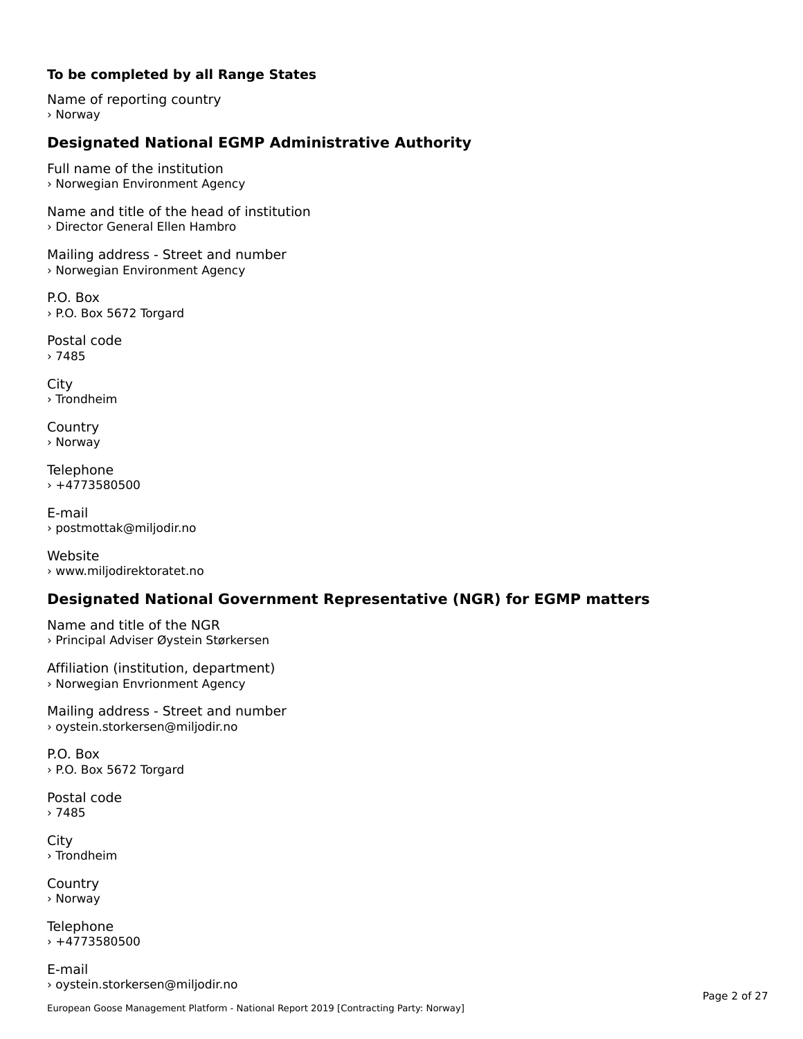#### **To be completed by all Range States**

Name of reporting country › Norway

# **Designated National EGMP Administrative Authority**

Full name of the institution › Norwegian Environment Agency

Name and title of the head of institution› Director General Ellen Hambro

Mailing address - Street and number › Norwegian Environment Agency

P.O. Box › P.O. Box 5672 Torgard

Postal code› 7485

City › Trondheim

**Country** › Norway

Telephone › +4773580500

E-mail› postmottak@miljodir.no

Website› www.miljodirektoratet.no

## **Designated National Government Representative (NGR) for EGMP matters**

Name and title of the NGR › Principal Adviser Øystein Størkersen

Affiliation (institution, department) › Norwegian Envrionment Agency

Mailing address - Street and number › oystein.storkersen@miljodir.no

P.O. Box › P.O. Box 5672 Torgard

Postal code› 7485

City › Trondheim

**Country** › Norway

Telephone  $+4773580500$ 

E-mail› oystein.storkersen@miljodir.no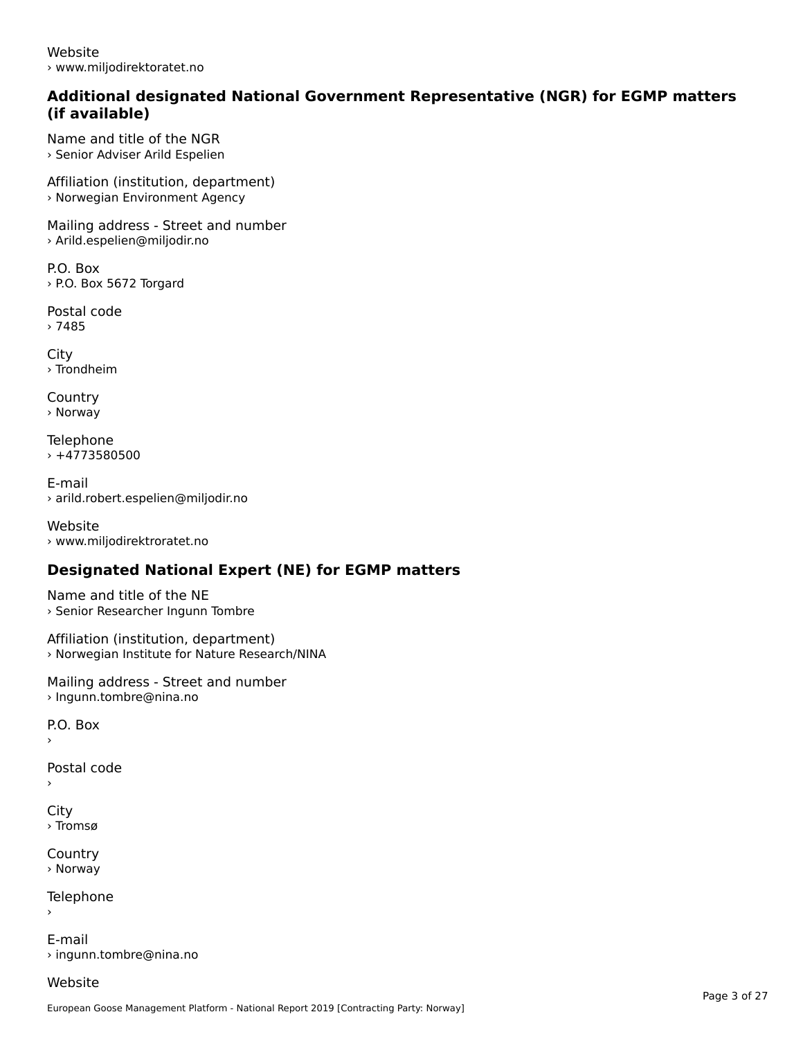Website› www.miljodirektoratet.no

#### **Additional designated National Government Representative (NGR) for EGMP matters (if available)**

Name and title of the NGR› Senior Adviser Arild Espelien

Affiliation (institution, department) › Norwegian Environment Agency

Mailing address - Street and number › Arild.espelien@miljodir.no

P.O. Box › P.O. Box 5672 Torgard

Postal code › 7485

**City** › Trondheim

**Country** › Norway

Telephone › +4773580500

E-mail› arild.robert.espelien@miljodir.no

Website › www.miljodirektroratet.no

# **Designated National Expert (NE) for EGMP matters**

Name and title of the NE › Senior Researcher Ingunn Tombre

Affiliation (institution, department) › Norwegian Institute for Nature Research/NINA

Mailing address - Street and number > Ingunn.tombre@nina.no

 $\overline{P}$ ›

Postal code

›

**City** › Tromsø

**Country** › Norway

Telephone

E-mail› ingunn.tombre@nina.no

Website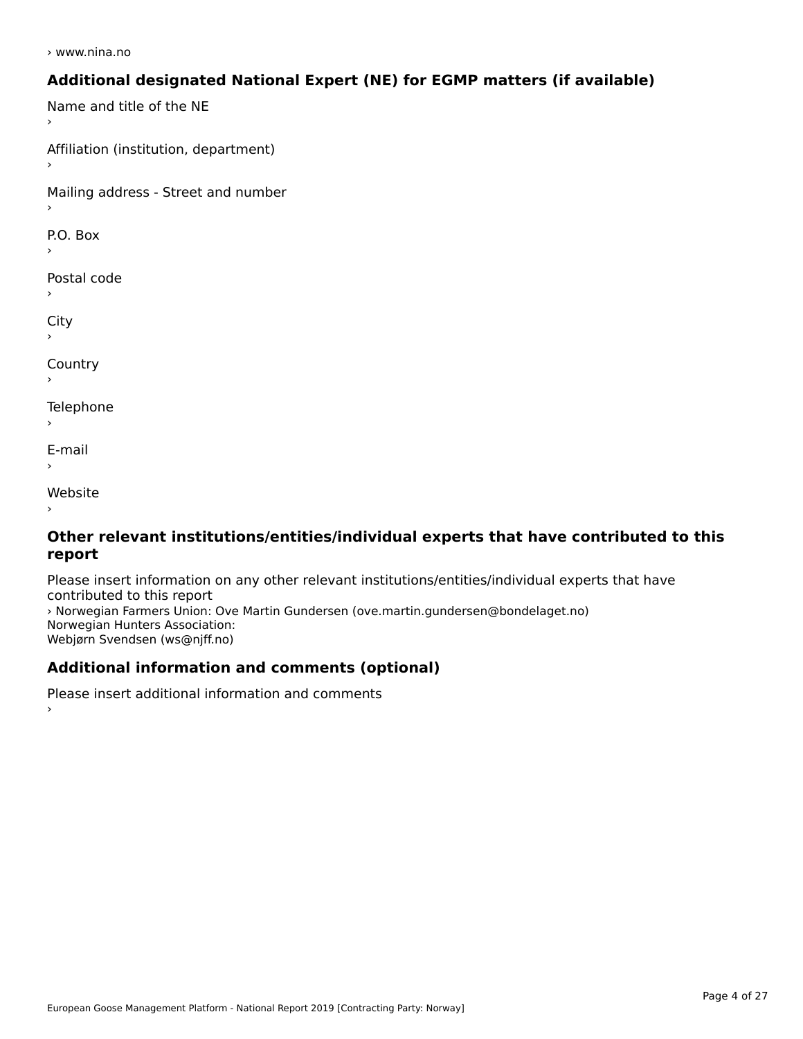› www.nina.no

### **Additional designated National Expert (NE) for EGMP matters (if available)**

Name and title of the NE Affiliation (institution, department) Mailing address - Street and number  $\overline{P}$ ›Postal code City ›**Country Telephone**  $\bar{\phantom{a}}$ E-mail›Website›

#### **Other relevant institutions/entities/individual experts that have contributed to this report**report

Please insert information on any other relevant institutions/entities/individual experts that have › Norwegian Farmers Union: Ove Martin Gundersen (ove.martin.gundersen@bondelaget.no) *,* Norwegian Fanners Omon. Ove<br>Norwegian Hunters Association: Webjørn Svendsen (ws@njff.no)

# **Additional information and comments (optional)**

Please insert additional information and comments ›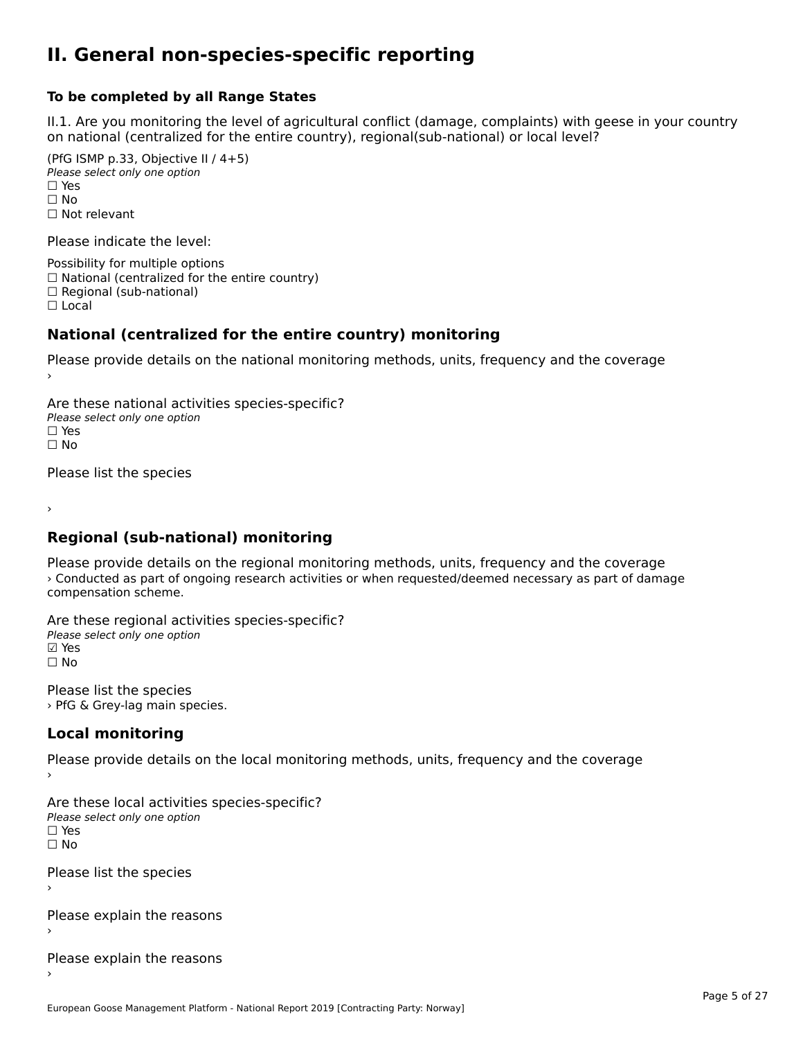#### **II. General non-species-specific reporting**

#### **To be completed by all Range States**

II.1. Are you monitoring the level of agricultural conflict (damage, complaints) with geese in your country n.i. Are you monitoring the lever or agricultural connict (damage, complaints) with g<br>on national (centralized for the entire country), regional(sub-national) or local level?

(PfG ISMP p.33, Objective II  $(4+5)$ ) ∪ ISMIT p.55, Objective<br>Please select only one option □ Yes<br>□ No □ No<br>□ Not relevant

Please indicate the level:

Possibility for multiple options  $\Box$  National (centralized for the entire country)

 $\Box$  Regional (sub-national)

☐ Local

#### **National (centralized for the entire country) monitoring**

Please provide details on the national monitoring methods, units, frequency and the coverage

Are these national activities species-specific? ∩ne enese national activity<br>Please select only one option ☐ No $\Box$  No

Please list the species

›

#### **Regional (sub-national) monitoring**

Please provide details on the regional monitoring methods, units, frequency and the coverage › Conducted as part of ongoing research activities or when requested/deemed necessary as part of damage *Preditation as part of the conduction* 

Are these regional activities species-specific? Please select only one option ☑ Yes☐ No

Please list the species › PfG & Grey-lag main species.

# **Local monitoring**

Please provide details on the local monitoring methods, units, frequency and the coverage

Are these local activities species-specific? ∩ne enese local decrimed.<br>Please select only one option □ Yes<br>□ No

Please list the species ›

Please explain the reasons

Please explain the reasons ›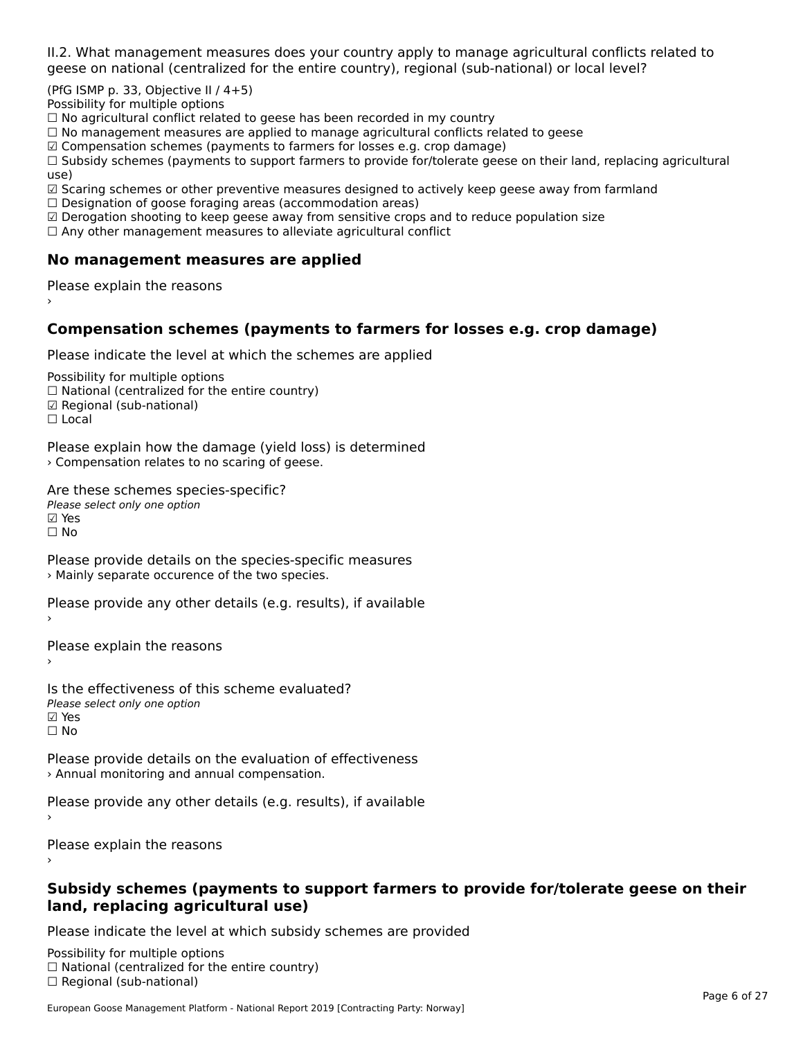II.2. What management measures does your country apply to manage agricultural conflicts related to

(PfG ISMP p. 33, Objective II  $/$  4+5)

Possibility for multiple options

™assibility for maltiple options<br>□ No agricultural conflict related to geese has been recorded in my country  $\Box$  No agricultural conflict related to geese has been recorded in high conflict  $r$ 

 $\Box$  No management measures are applied to manage agricultural commets relations to  $\Box$ 

 $\mathbb Z$  Compensation schemes (payments to farmers for losses e.g. crop damage)

a compensation schemes (payments to familers for losses e.g. crop damage)<br>[1] Subsidy schemes (payments to support farmers to provide for/tolerate geese on their land, replacing agricultural use)

use,<br>☑ Scaring schemes or other preventive measures designed to actively keep geese away from farmland

⊠ Scaring scrientes of other preventive measures designed to a<br>□ Designation of goose foraging areas (accommodation areas)

□ Designation or goose foraging areas (accommodation areas)<br>□ Derogation shooting to keep geese away from sensitive crops and to reduce population size

 $\Box$  Any other management measures to alleviate agricultural conflict

### **No management measures are applied**

Please explain the reasons ›

### **Compensation schemes (payments to farmers for losses e.g. crop damage)**

Please indicate the level at which the schemes are applied

Possibility for multiple options rossibility for multiple options<br>□ National (centralized for the entire country) □ National (centralized io<br>☑ Regional (sub-national) ⊠ Regio<br>□ Local

Please explain how the damage (yield loss) is determined › Compensation relates to no scaring of geese.

Are these schemes species-specific? ∧e chese senemes spee<br>Please select only one option **☑ Yes**<br>□ No

Please provide details on the species-specific measures › Mainly separate occurence of the two species.

Please provide any other details (e.g. results), if available

Please explain the reasons

Is the effectiveness of this scheme evaluated?Please select only one option☑ Yes☐ No

Please provide details on the evaluation of effectiveness › Annual monitoring and annual compensation.

Please provide any other details (e.g. results), if available

Please explain the reasons

#### **Subsidy schemes (payments to support farmers to provide for/tolerate geese on their land, replacing agricultural use)**

Please indicate the level at which subsidy schemes are provided

Possibility for multiple options rossibility for multiple options<br>□ National (centralized for the entire country) □ Regional (centranzed to<br>□ Regional (sub-national)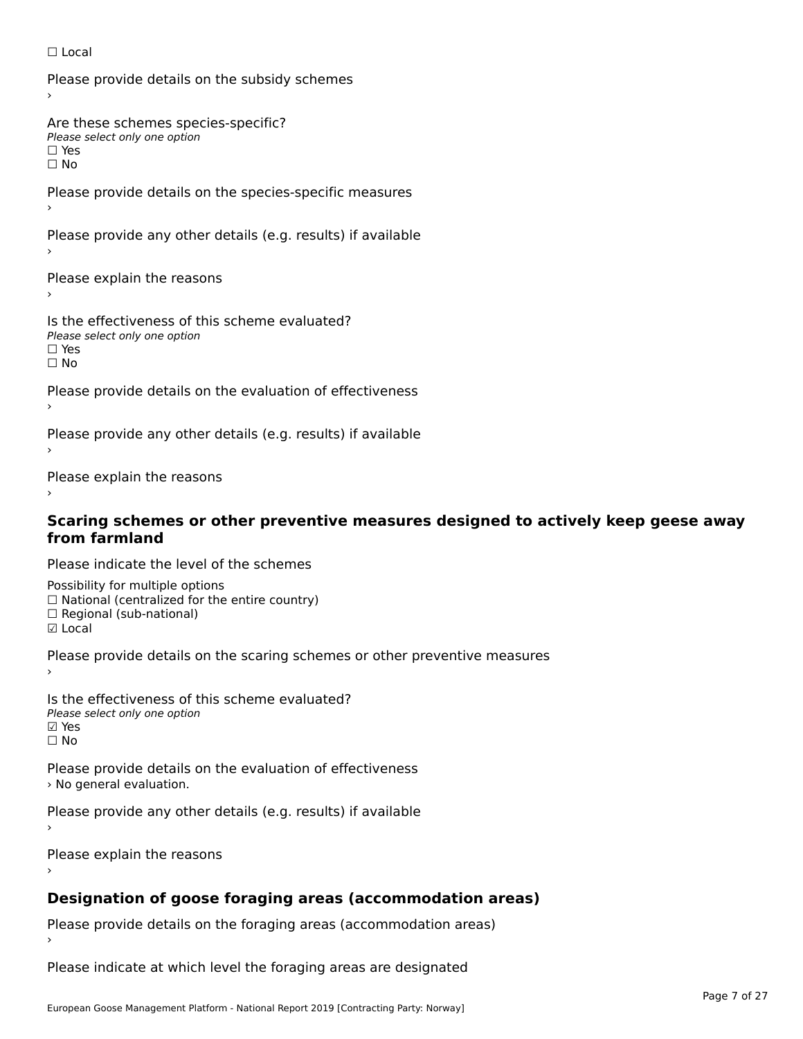#### ☐ Local

Please provide details on the subsidy schemes

Are these schemes species-specific?∩ne these senemes spe<br>Please select only one option

□ Yes<br>□ No

Please provide details on the species-specific measures

Please provide any other details (e.g. results) if available

Please explain the reasons

Is the effectiveness of this scheme evaluated? □ CITC CITCCLIVERESS OF C<br>Please select only one option ים וכ∍<br>⊡ No

Please provide details on the evaluation of effectiveness

Please provide any other details (e.g. results) if available

Please explain the reasons

# **Scaring schemes or other preventive measures designed to actively keep geese away from farmland**

Please indicate the level of the schemes

Possibility for multiple options ™assibility for multiple options<br>□ National (centralized for the entire country) □ National (centralized io<br>□ Regional (sub-national) ☑ Local

Please provide details on the scaring schemes or other preventive measures

Is the effectiveness of this scheme evaluated?Please select only one option☑ Yes☐ No

Please provide details on the evaluation of effectiveness› No general evaluation.

Please provide any other details (e.g. results) if available

Please explain the reasons

#### **Designation of goose foraging areas (accommodation areas)**

Please provide details on the foraging areas (accommodation areas)

Please indicate at which level the foraging areas are designated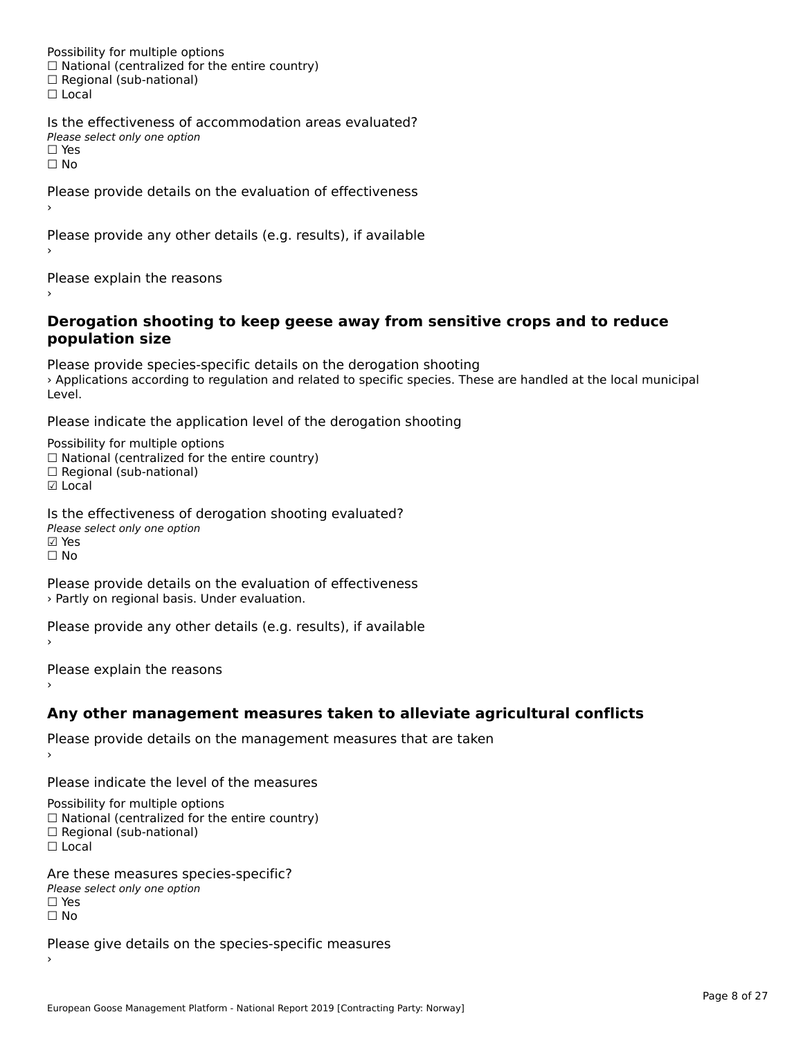Possibility for multiple options rossibility for multiple options<br>□ National (centralized for the entire country) □ National (centralized io<br>□ Regional (sub-national) ☐ Local

Is the effectiveness of accommodation areas evaluated?□ CILCCCCVCIC55 OF Q<br>Please select only one option □ Yes<br>□ No

Please provide details on the evaluation of effectiveness

Please provide any other details (e.g. results), if available

Please explain the reasons

#### **Derogation shooting to keep geese away from sensitive crops and to reduce population size**population size

Please provide species-specific details on the derogation shooting I lease provide species-specific details on the derogation shooting<br>> Applications according to regulation and related to specific species. These are handled at the local municipal

Please indicate the application level of the derogation shooting

Possibility for multiple options гозывниу тог нингріе орноть<br>□ National (centralized for the entire country)  $\Box$  Regional (sub-national)

☑ Local

Is the effectiveness of derogation shooting evaluated? Please select only one option ☑ Yes☐ No

Please provide details on the evaluation of effectiveness › Partly on regional basis. Under evaluation.

Please provide any other details (e.g. results), if available

Please explain the reasons

**Any other management measures taken to alleviate agricultural conflicts**

Please provide details on the management measures that are taken

Please indicate the level of the measures

Possibility for multiple options

rossibility for multiple options<br>□ National (centralized for the entire country)

□ National (centralized io<br>□ Regional (sub-national)

☐ Local

Are these measures species-specific?ric criese measures spe<br>Please select only one option ☐ Yes☐ No

Please give details on the species-specific measures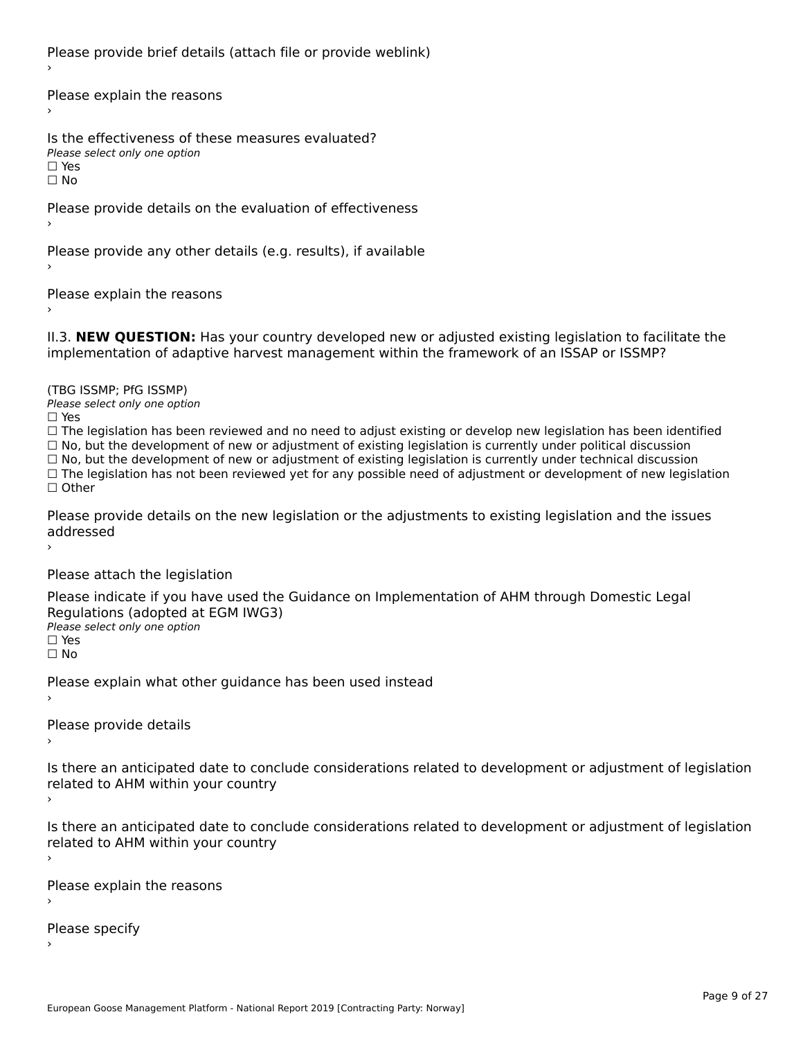Please provide brief details (attach file or provide weblink)

Please explain the reasons›

Is the effectiveness of these measures evaluated?Please select only one option☐ Yesים וכ∍<br>⊡ No

Please provide details on the evaluation of effectiveness

Please provide any other details (e.g. results), if available

Please explain the reasons›

II.3. **NEW QUESTION:** Has your country developed new or adjusted existing legislation to facilitate the

(TBG ISSMP; PfG ISSMP)

Please select only one option ☐ Yes

☐ The legislation has been reviewed and no need to adjust existing or develop new legislation has been identified ☐ No, but the development of new or adjustment of existing legislation is currently under political discussion ☐ No, but the development of new or adjustment of existing legislation is currently under technical discussion $\Box$  No, but the development of new or adjustment of existing legislation is currently under technical discussion □ No, but the development of hew or adjustment of existing regislation is currently under technical discussion<br>□ The legislation has not been reviewed yet for any possible need of adjustment or development of new legislat

Please provide details on the new legislation or the adjustments to existing legislation and the issues riease piu<br>seddressed ›

Please attach the legislation

Please indicate if you have used the Guidance on Implementation of AHM through Domestic Legal Piease indicate if you have used the<br>Regulations (adopted at EGM IWG3) Please select only one option ☐ Yes☐ No

Please explain what other guidance has been used instead

Please provide details

Is there an anticipated date to conclude considerations related to development or adjustment of legislation Proced to Arm within your country

Is there an anticipated date to conclude considerations related to development or adjustment of legislation is there are anticrpated date to control<br>related to AHM within your country

Please explain the reasons

Please specify›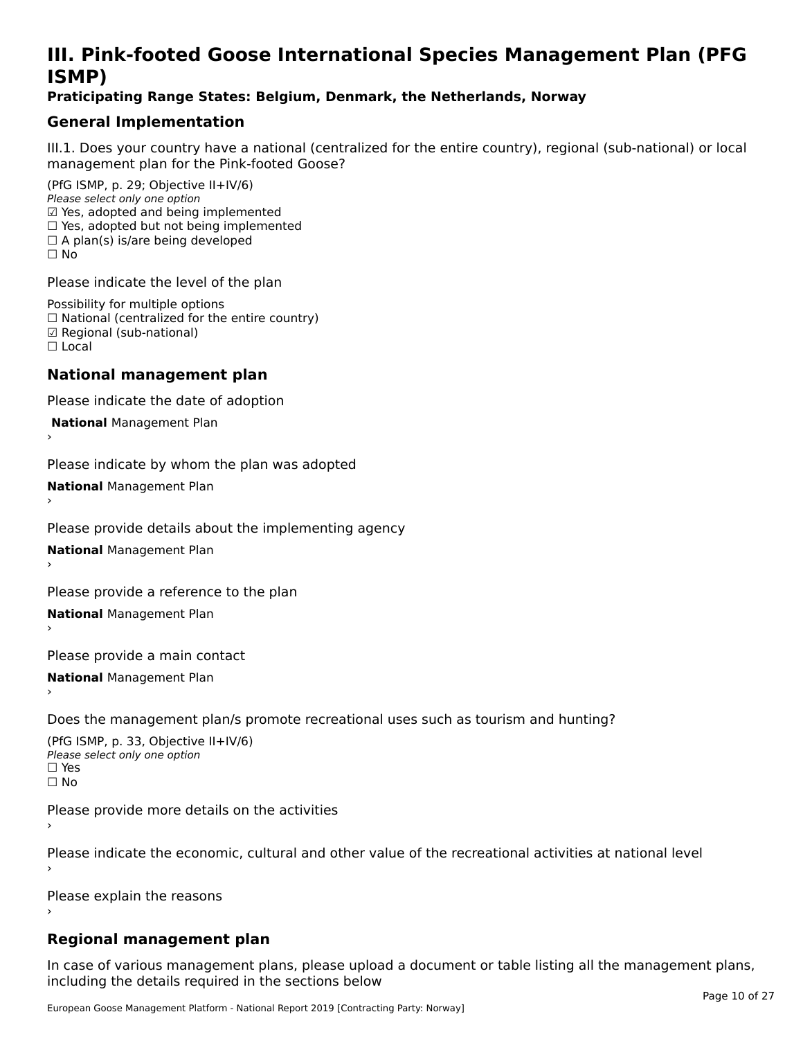# **III. Pink-footed Goose International Species Management Plan (PFG**III. FIIIN-IUULEU GUUSE IIILEI II**atiunai Species Management Fian (FTG**<br>ISMD)

#### **Praticipating Range States: Belgium, Denmark, the Netherlands, Norway**

## **General Implementation**

III.1. Does your country have a national (centralized for the entire country), regional (sub-national) or local

(PfG ISMP, p. 29; Objective II+IV/6) Please select only one option *Please select only one option*<br>☑ Yes, adopted and being implemented  $\square$  ies, adopted and being implemented<br> $\square$  Yes, adopted but not being implemented  $\Box$  A plan(s) is/are being developed ☐ No

Please indicate the level of the plan

Possibility for multiple options rossibility for multiple options<br>□ National (centralized for the entire country) □ National (centralized io<br>☑ Regional (sub-national) ☐ Local

#### **National management plan**

Please indicate the date of adoption

 **National** Management Plan

›

Please indicate by whom the plan was adopted

**National** Management Plan ›

Please provide details about the implementing agency

**National** Management Plan ›

Please provide a reference to the plan

**National** Management Plan ›

Please provide a main contact

**National** Management Plan ›

Does the management plan/s promote recreational uses such as tourism and hunting?

(PfG ISMP, p. 33, Objective II+IV/6) Please select only one optionPlease select only one option  $\square$  Yes ☐ No

Please provide more details on the activities

Please indicate the economic, cultural and other value of the recreational activities at national level

Please explain the reasons

### **Regional management plan**

In case of various management plans, please upload a document or table listing all the management plans, $\frac{1}{2}$  case of various management plans, please uploa including the details required in the sections below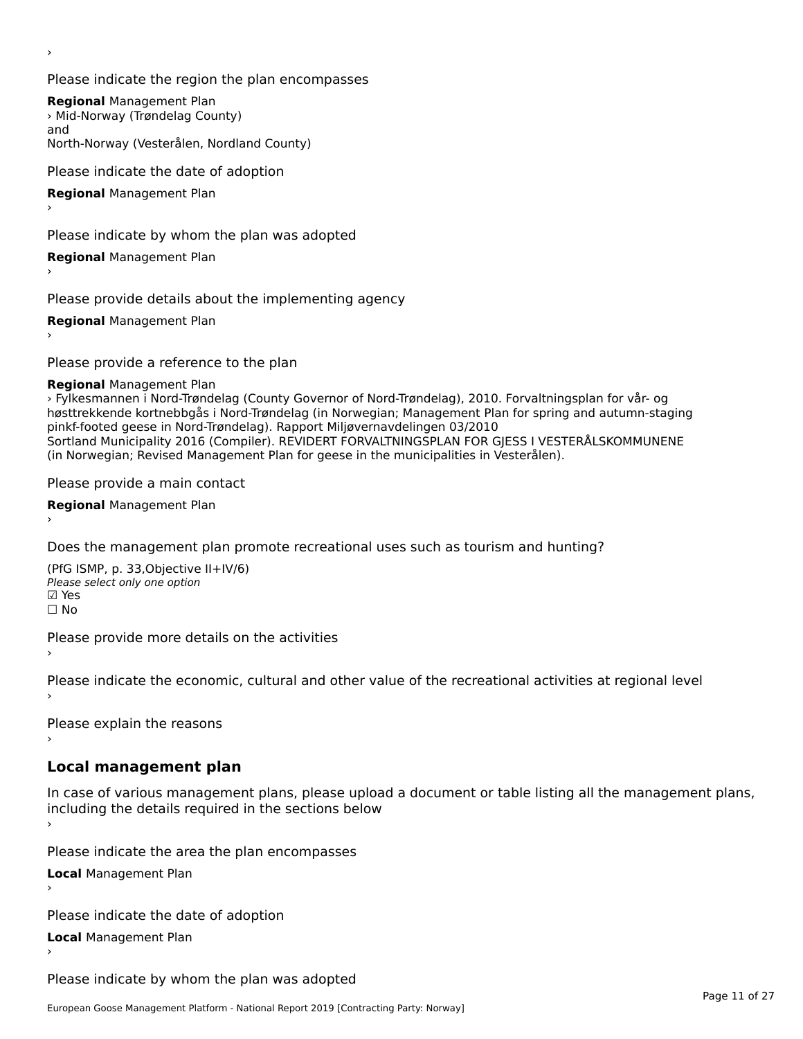›

Please indicate the region the plan encompasses

**Regional** Management Plan **Negional Management Flan**<br>> Mid-Norway (Trøndelag County) North-Norway (Vesterålen, Nordland County)

Please indicate the date of adoption

**Regional** Management Plan

Please indicate by whom the plan was adopted

**Regional** Management Plan

Please provide details about the implementing agency

**Regional** Management Plan

Please provide a reference to the plan

**Regional** Management Plan

› Fylkesmannen i Nord-Trøndelag (County Governor of Nord-Trøndelag), 2010. Forvaltningsplan for vår- og høsttrekkende kortnebbgås i Nord-Trøndelag (in Norwegian; Management Plan for spring and autumn-staging pinkf-footed geese in Nord-Trøndelag). Rapport Miljøvernavdelingen 03/2010 priki-looted geese in Nord-Høndelag). Rapport Miljøverhavdelingen 03/2010<br>Sortland Municipality 2016 (Compiler). REVIDERT FORVALTNINGSPLAN FOR GJESS I VESTERÅLSKOMMUNENE (in Norwegian; Revised Management Plan for geese in the municipalities in Vesterålen).

Please provide a main contact

**Regional** Management Plan ›

Does the management plan promote recreational uses such as tourism and hunting?

(PfG ISMP, p. 33,Objective II+IV/6)יייכו וייכו (דייכו)<br>Please select only one option<br>קי **☑ Yes**<br>Π No

Please provide more details on the activities

Please indicate the economic, cultural and other value of the recreational activities at regional level

Please explain the reasons ›

#### **Local management plan**

In case of various management plans, please upload a document or table listing all the management plans, including the actual required in the sections below

Please indicate the area the plan encompasses

**Local** Management Plan

Please indicate the date of adoption

**Local** Management Plan

Please indicate by whom the plan was adopted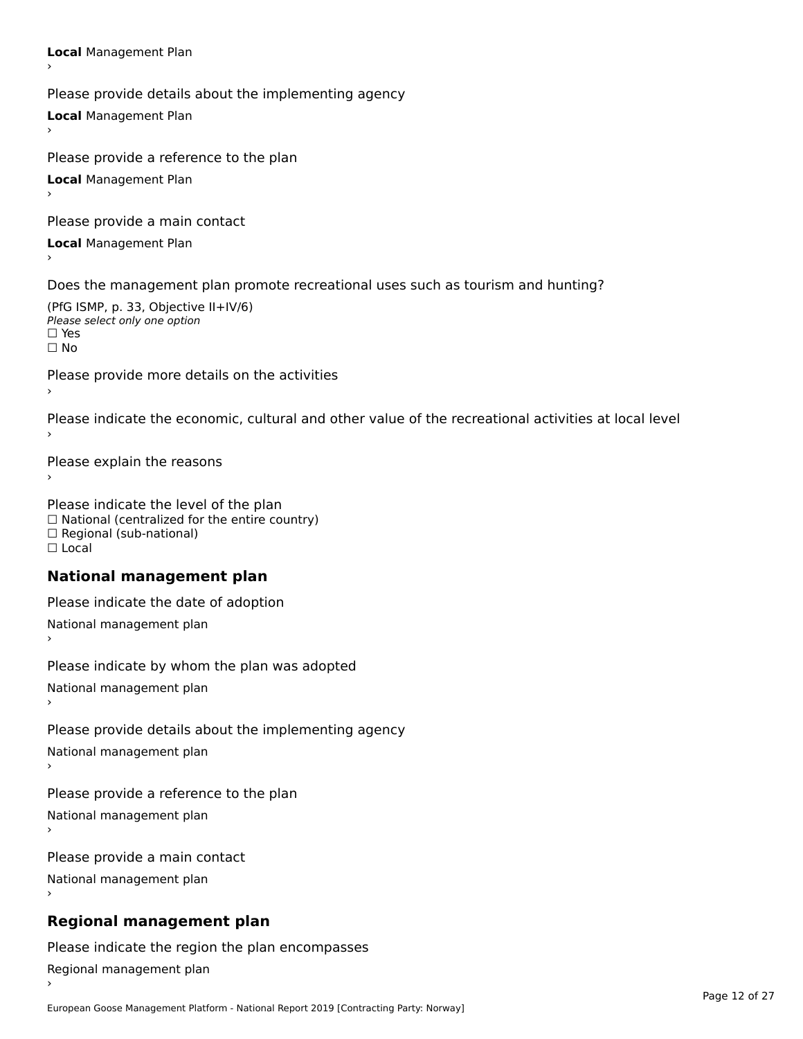**Local** Management Plan Please provide details about the implementing agency **Local** Management Plan Please provide a reference to the plan **Local** Management Plan Please provide a main contact **Local** Management Plan Does the management plan promote recreational uses such as tourism and hunting? (PfG ISMP, p. 33, Objective II+IV/6) Please select only one optionPlease select only one option<br>□ Yes □ Yes<br>□ No Please provide more details on the activities Please indicate the economic, cultural and other value of the recreational activities at local level Please explain the reasons ›Please indicate the level of the plan  $\Box$  National (centralized for the entire country)  $\Box$  $\Box$  Regional (sub-national) ☐ Local**National management plan**Please indicate the date of adoption National management plan ›Please indicate by whom the plan was adopted National management plan›Please provide details about the implementing agency National management plan ›Please provide a reference to the plan

National management plan

Please provide a main contact National management plan ›

# **Regional management plan**

Please indicate the region the plan encompasses Regional management plan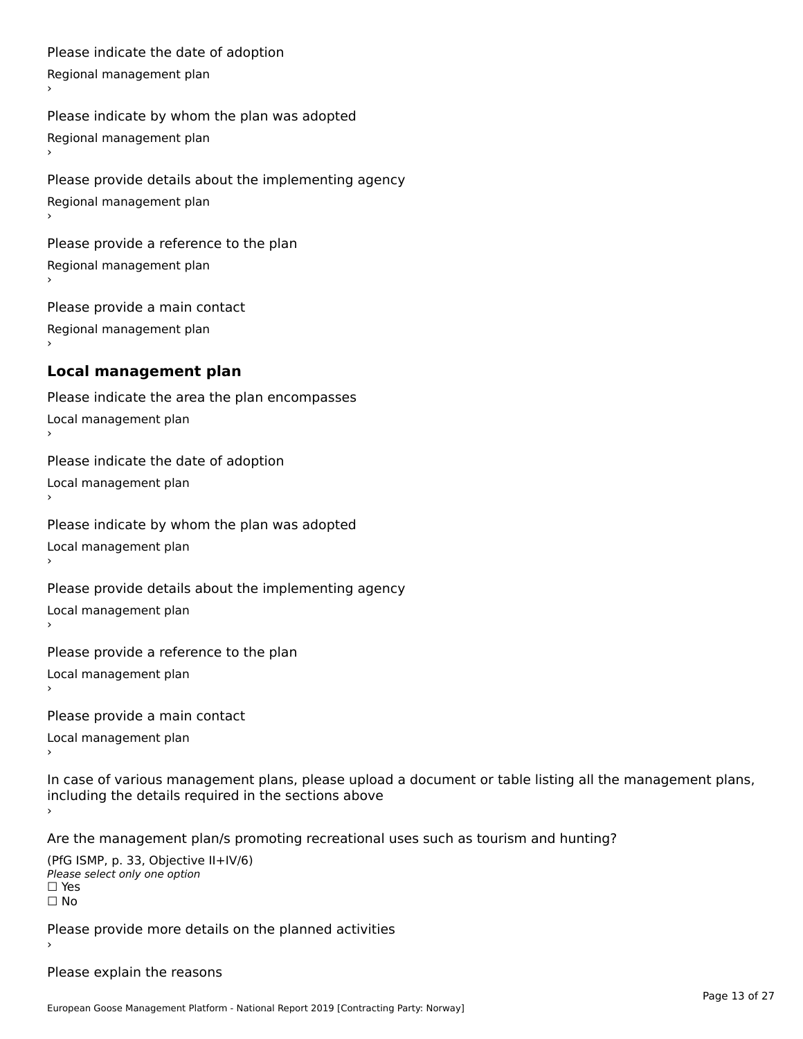Please indicate the date of adoption

Regional management plan

Please indicate by whom the plan was adopted Regional management plan

Please provide details about the implementing agency Regional management plan

Please provide a reference to the plan Regional management plan

Please provide a main contact Regional management plan

# **Local management plan**

Please indicate the area the plan encompasses Local management plan١, Please indicate the date of adoption Local management plan›Please indicate by whom the plan was adopted Local management plan١, Please provide details about the implementing agency Local management plan›Please provide a reference to the plan Local management plan١,

Please provide a main contact

Local management plan›

In case of various management plans, please upload a document or table listing all the management plans,in case or various management plans, please upload ›

Are the management plan/s promoting recreational uses such as tourism and hunting?

(PfG ISMP, p. 33, Objective II+IV/6) Please select only one option ☐ Yes□ Yes<br>□ No

Please provide more details on the planned activities

Please explain the reasons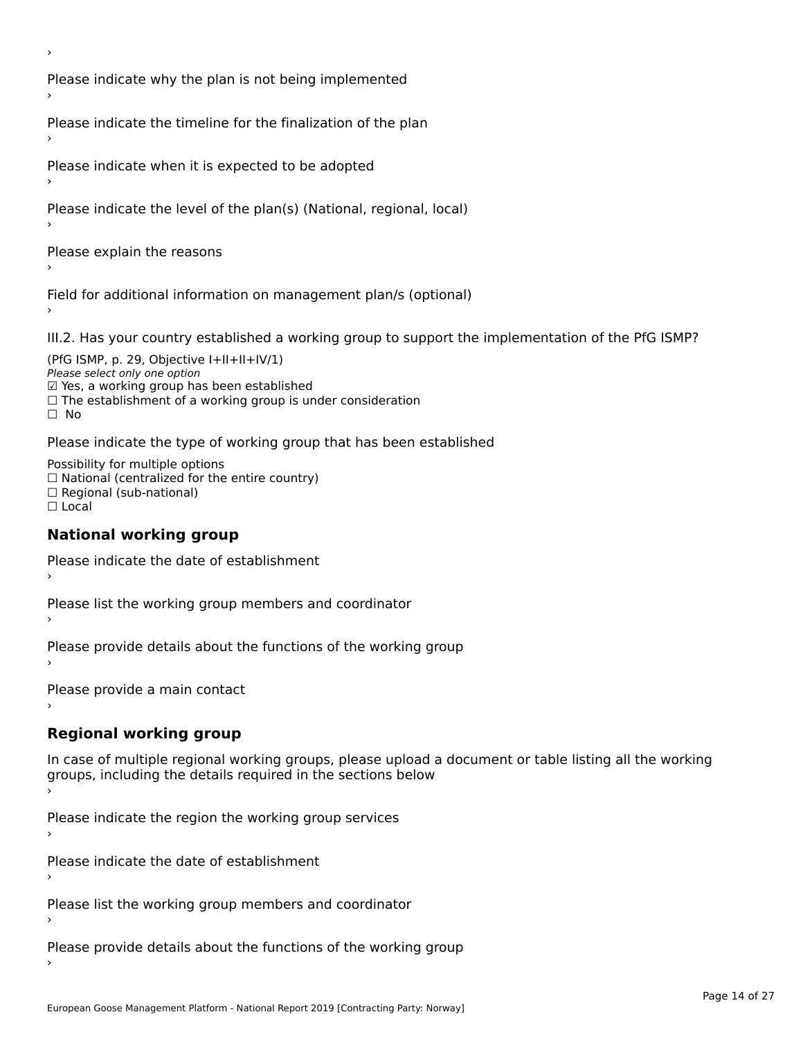›

Please indicate why the plan is not being implemented

Please indicate the timeline for the finalization of the plan

Please indicate when it is expected to be adopted

Please indicate the level of the plan(s) (National, regional, local)

Please explain the reasons

Field for additional information on management plan/s (optional)

III.2. Has your country established a working group to support the implementation of the PfG ISMP?

(PfG ISMP, p. 29, Objective  $I+II+II+IV/1$ ) Please select only one option *riease select omy one option*<br>☑ Yes, a working group has been established □ Tes, a working group has been established<br>□ The establishment of a working group is under consideration

Please indicate the type of working group that has been established

Possibility for multiple options rossibility for multiple options<br>□ National (centralized for the entire country) □ National (centralized io<br>□ Regional (sub-national) ☐ Local

### **National working group**

Please indicate the date of establishment›

Please list the working group members and coordinator ›

Please provide details about the functions of the working group ›

Please provide a main contact ›

# **Regional working group**

In case of multiple regional working groups, please upload a document or table listing all the working groups, including the actums required in the sections below

Please indicate the region the working group services ›

Please indicate the date of establishment ›

Please list the working group members and coordinator ›

Please provide details about the functions of the working group ›

European Goose Management Platform - National Report 2019 [Contracting Party: Norway]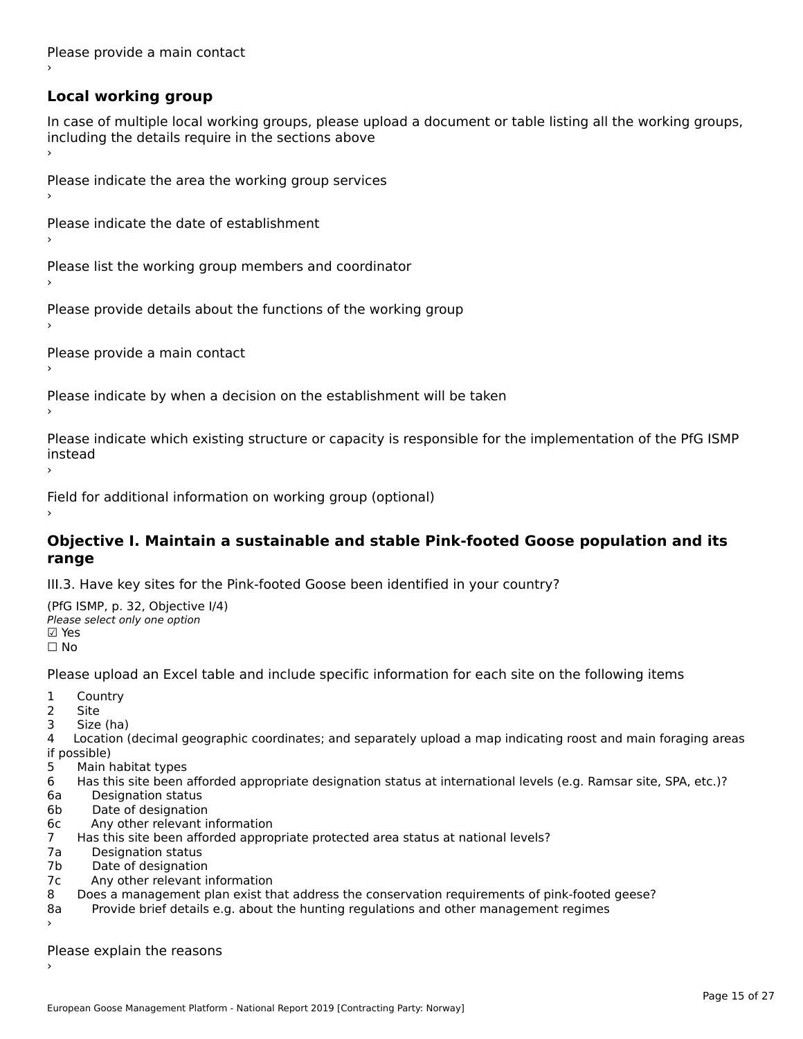Please provide a main contact ›

# **Local working group**

In case of multiple local working groups, please upload a document or table listing all the working groups, including the details require in the sections above  $\frac{1}{2}$ 

Please indicate the area the working group services ›

Please indicate the date of establishment ›

Please list the working group members and coordinator ›

Please provide details about the functions of the working group ›

Please provide a main contact ›

Please indicate by when a decision on the establishment will be taken

Please indicate which existing structure or capacity is responsible for the implementation of the PfG ISMP instead

Field for additional information on working group (optional)

#### **Objective I. Maintain a sustainable and stable Pink-footed Goose population and its range**range

III.3. Have key sites for the Pink-footed Goose been identified in your country?

(PfG ISMP, p. 32, Objective I/4)(110 15111 , p. 52, Objective<br>Please select only one option ☐ No

Please upload an Excel table and include specific information for each site on the following items

- 1 Country
- 2 Site
- 3 Size (ha)

د احداد<br>4 Location (decimal geographic coordinates; and separately upload a map indicating roost and main foraging areas 4 Location<br>if possible)

- 5 Main habitat types
- 6 Has this site been afforded appropriate designation status at international levels (e.g. Ramsar site, SPA, etc.)? 6. Bestweetter status
- 6a Designation status<br>6b Date of designation
- 
- 6c Any other relevant information
- 7 Has this site been afforded appropriate protected area status at national levels? 7a Designation status
- 7a Designation status<br>7b Date of designation
- 
- 7c Any other relevant information
- $80 8$   $\mu$  may out the vanish monitorial that address the conservation requirements of pink-footed geose? 8a Provide brief details e.g. about the hunting regulations and other management regimes
- Provide brief details e.g. about the hunting regulations and other management regimes ›

Please explain the reasons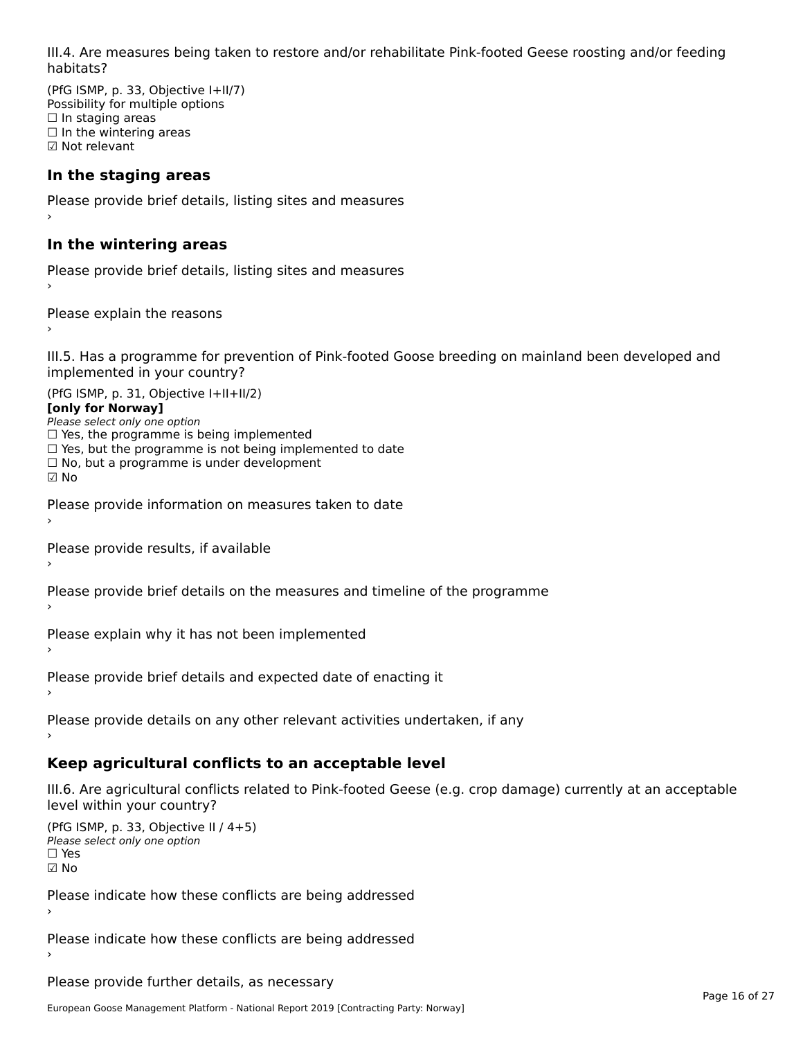III.4. Are measures being taken to restore and/or rehabilitate Pink-footed Geese roosting and/or feeding habitats?

(PfG ISMP, p. 33, Objective I+II/7) Possibility for multiple options n ossibility for friditi<br>□ In staging areas □ in staging areas<br>□ In the wintering areas ☑ Not relevant

### **In the staging areas**

Please provide brief details, listing sites and measures ›

#### **In the wintering areas**

Please provide brief details, listing sites and measures ›

Please explain the reasons

III.5. Has a programme for prevention of Pink-footed Goose breeding on mainland been developed and im.5. Tias a programme for pre<br>implemented in your country?

 $(DEC~ICMD = 21, Okicative L+II+II/2)$ **[only for Norway]**[only for Norway] Please select only one option

*riease select only one option*<br>□ Yes, the programme is being implemented

 $\Box$  ies, the programme is being implemented to date  $\Box$  Yes, but the programme is not being implemented to date

 $\Box$  No, but a programme is under development

☑ No

Please provide information on measures taken to date

Please provide results, if available

Please provide brief details on the measures and timeline of the programme

Please explain why it has not been implemented

Please provide brief details and expected date of enacting it

Please provide details on any other relevant activities undertaken, if any

#### **Keep agricultural conflicts to an acceptable level**

III.6. Are agricultural conflicts related to Pink-footed Geese (e.g. crop damage) currently at an acceptable

```
(PfG ISMP, p. 33, Objective II / 4+5)Please select only one option☐ Yes☑ No
```
Please indicate how these conflicts are being addressed

Please indicate how these conflicts are being addressed

Please provide further details, as necessary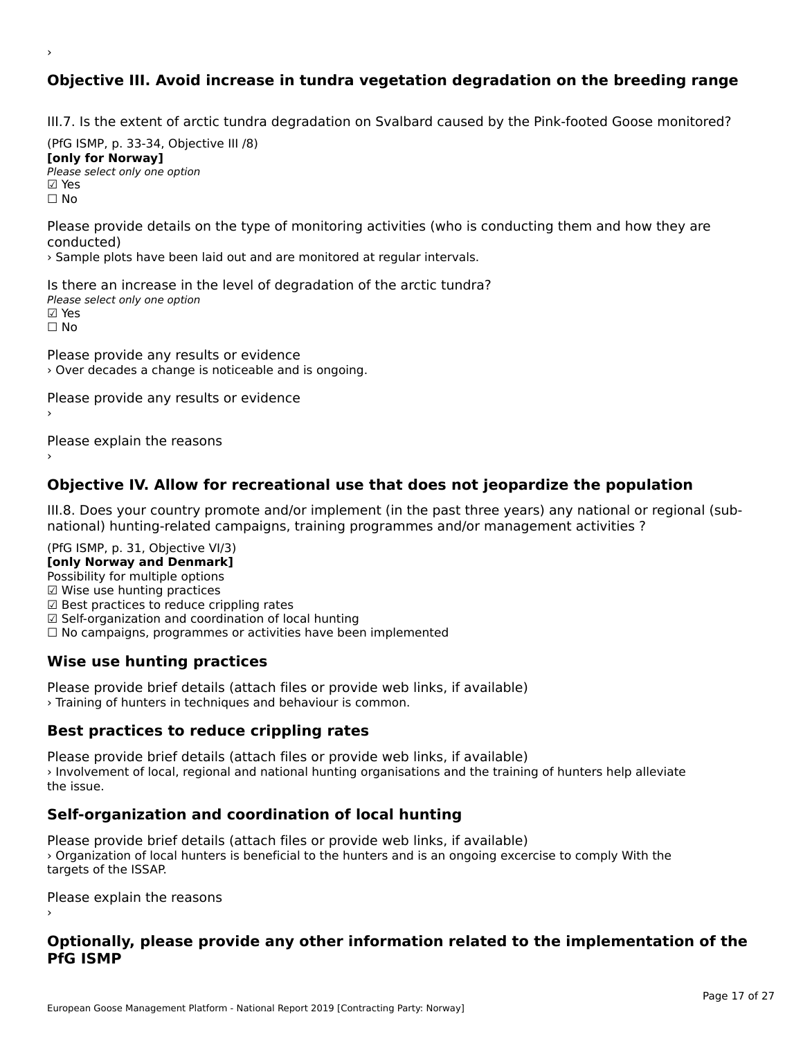## **Objective III. Avoid increase in tundra vegetation degradation on the breeding range**

III.7. Is the extent of arctic tundra degradation on Svalbard caused by the Pink-footed Goose monitored?

 $(DC \cup CMP, p. 33, 34, 0$ bjective III  $(0)$ **[only for Norway]**[only for Norway] **∐only for Norway]**<br>Please select only one option **☑ Yes**<br>□ No

›

Please provide details on the type of monitoring activities (who is conducting them and how they are

› Sample plots have been laid out and are monitored at regular intervals.

Is there an increase in the level of degradation of the arctic tundra? Please select only one option ☑ Yes☐ No

Please provide any results or evidence › Over decades a change is noticeable and is ongoing.

Please provide any results or evidence

Please explain the reasons

#### **Objective IV. Allow for recreational use that does not jeopardize the population**

III.8. Does your country promote and/or implement (in the past three years) any national or regional (subnational) hunting-related campaigns, training-relativities  $\alpha$  and  $\alpha$  and  $\alpha$  management activities ? national) hunting-related campaigns, training programmes and/or management activities ?

(PfG ISMP, p. 31, Objective VI/3)

**[only Norway and Denmark]** Possibility for multiple options

☑ Wise use hunting practices

 $\boxtimes$  Wise use hunting practices

⊠ wise use nunting practices<br>☑ Best practices to reduce crippling rates

⊠ Best practices to reduce crippinig rates<br>☑ Self-organization and coordination of local hunting

⊠ Sen-organization and coordination or local nunting<br>□ No campaigns, programmes or activities have been implemented

### **Wise use hunting practices**

Please provide brief details (attach files or provide web links, if available) › Training of hunters in techniques and behaviour is common.

### **Best practices to reduce crippling rates**

Please provide brief details (attach files or provide web links, if available) I lease provide brief details (attach files of provide web first, if available)<br>> Involvement of local, regional and national hunting organisations and the training of hunters help alleviate

### **Self-organization and coordination of local hunting**

Please provide brief details (attach files or provide web links, if available) › Organization of local hunters is beneficial to the hunters and is an ongoing excercise to comply With the *r* Organization or loca<br>targets of the ISSAP.

Please explain the reasons

#### **Optionally, please provide any other information related to the implementation of the PfG ISMP**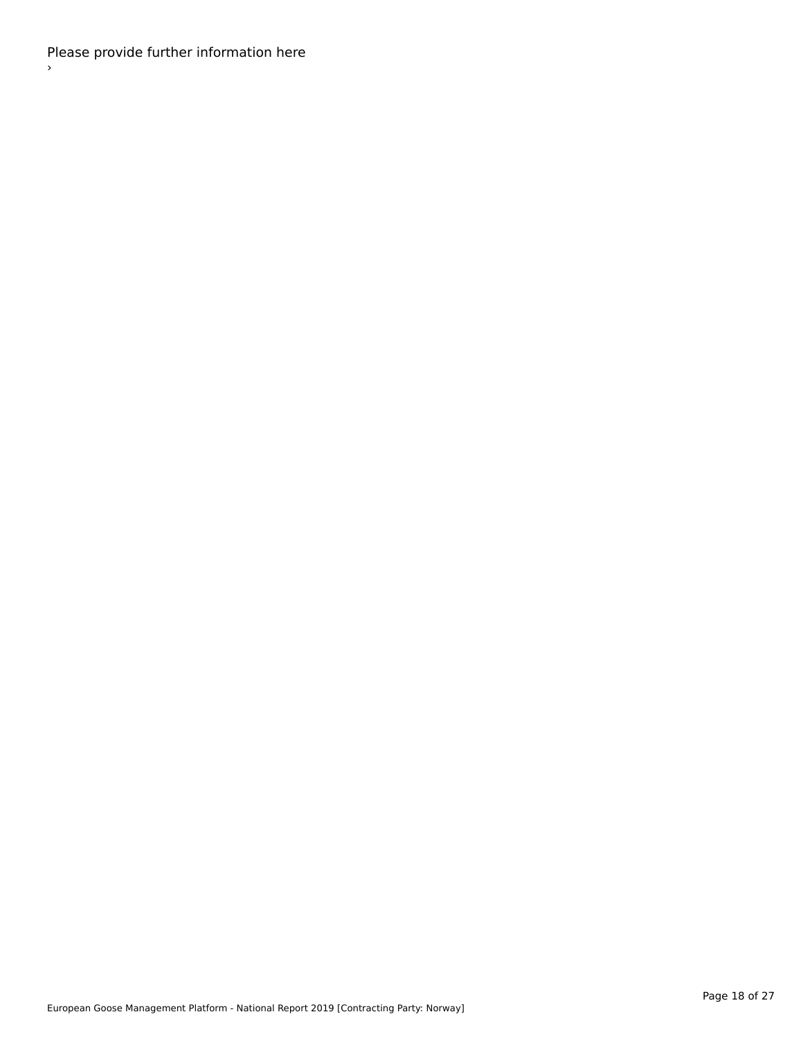Please provide further information here ›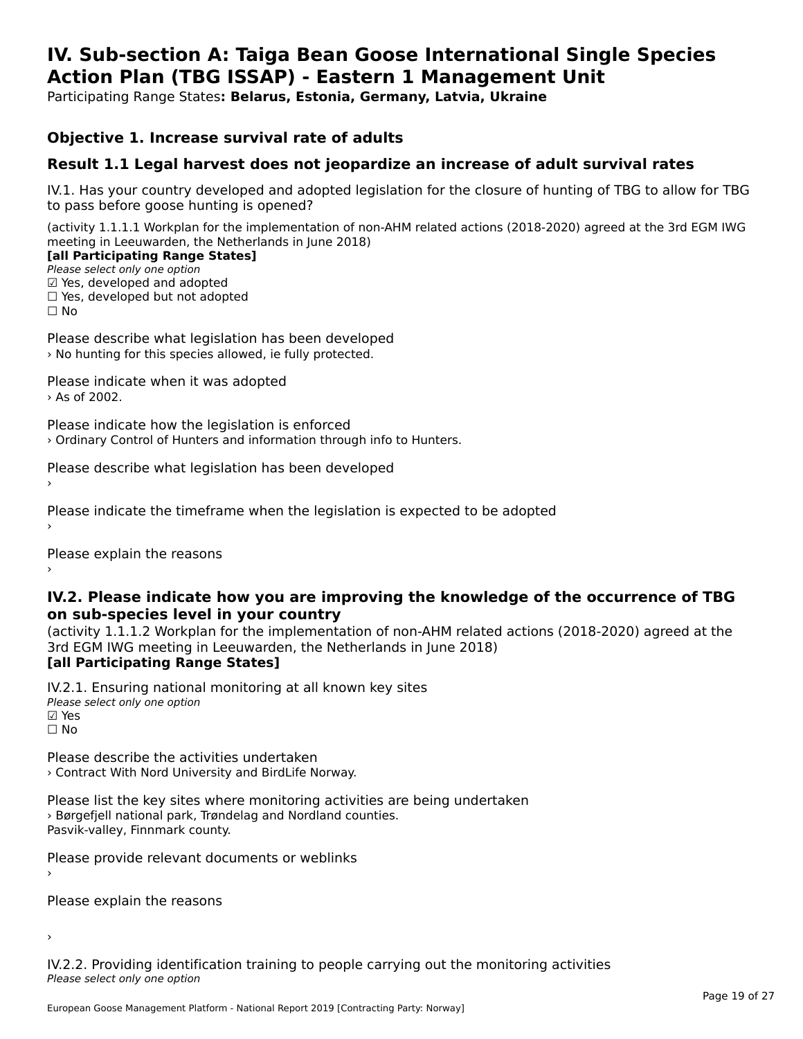#### **IV. Sub-section A: Taiga Bean Goose International Single Species Action Plan (TBG ISSAP) - Eastern 1 Management UnitAction Plan (TBG ISSAP) - Eastern 1 Management Unit**

Participating Range States**: Belarus, Estonia, Germany, Latvia, Ukraine** 

#### **Objective 1. Increase survival rate of adults**

#### **Result 1.1 Legal harvest does not jeopardize an increase of adult survival rates**

IV.1. Has your country developed and adopted legislation for the closure of hunting of TBG to allow for TBG IV.1. Thas your country developed and add<br>to pass before goose hunting is opened?

(activity 1.1.1.1 Workplan for the implementation of non-AHM related actions (2018-2020) agreed at the 3rd EGM IWG meeting in Leeuwarden, the Netherlands in June 2018) **[all Participating Range States]**

[all Participating Range States]

Please select only one option ☑ Yes, developed and adopted

 ☐ Yes, developed but not adopted $\Box$  ies, developed but not adopted

Please describe what legislation has been developed › No hunting for this species allowed, ie fully protected.

Please indicate when it was adopted › As of 2002.

Please indicate how the legislation is enforced › Ordinary Control of Hunters and information through info to Hunters.

Please describe what legislation has been developed

Please indicate the timeframe when the legislation is expected to be adopted

Please explain the reasons

#### **IV.2. Please indicate how you are improving the knowledge of the occurrence of TBG on sub-species level in your country**on sub-species level in your country

on sub-species fever in your country<br>(activity 1.1.1.2 Workplan for the implementation of non-AHM related actions (2018-2020) agreed at the **Brd EGM IWG meeting in Leeuwarden, the Netherlands in June 2018)** 

#### [all Participating Range States]

IV.2.1. Ensuring national monitoring at all known key sites ™ Ensuring nutional<br>Please select only one option **⊠** Yes ☐ No

Please describe the activities undertaken › Contract With Nord University and BirdLife Norway.

Please list the key sites where monitoring activities are being undertaken **Predict in the Key stress where monitoring activities are particles**. Pasvik-valley, Finnmark county.

Please provide relevant documents or weblinks

Please explain the reasons

›

IV.2.2. Providing identification training to people carrying out the monitoring activities Please select only one option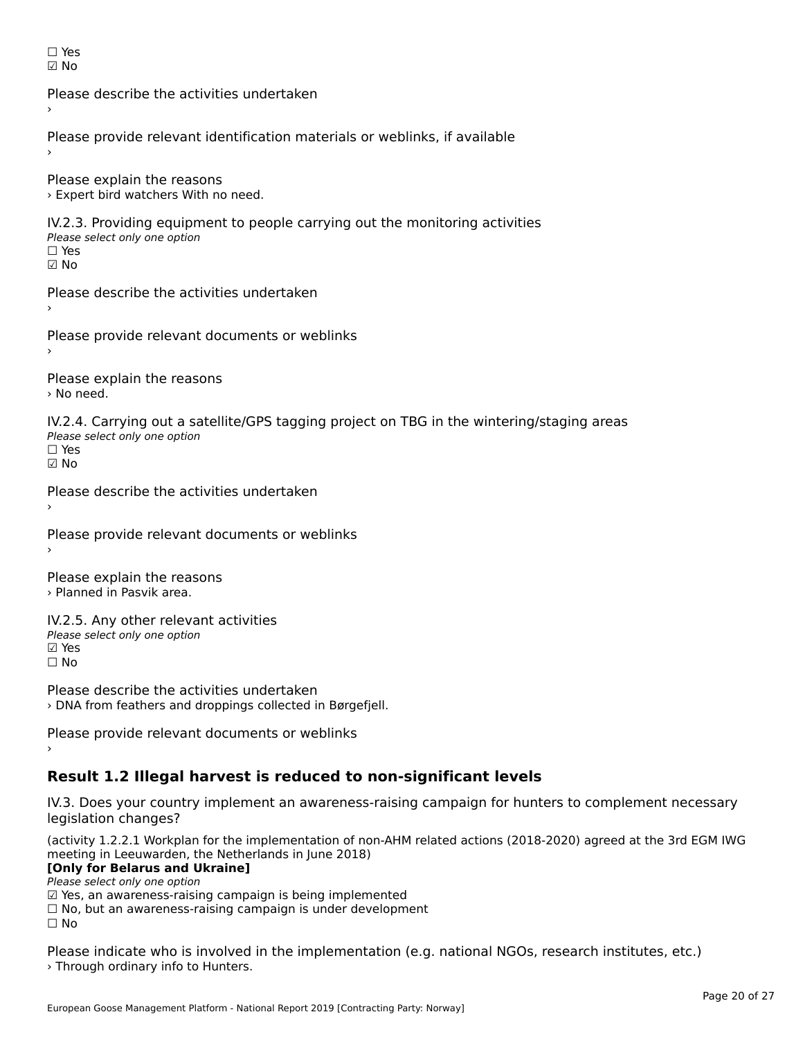| Y<br>L.<br>۰ |
|--------------|
| n            |

Please describe the activities undertaken›Please provide relevant identification materials or weblinks, if available Please explain the reasons › Expert bird watchers With no need. IV.2.3. Providing equipment to people carrying out the monitoring activities Please select only one option ☐ Yes☑ NoPlease describe the activities undertaken›Please provide relevant documents or weblinks Please explain the reasons › No need. IV.2.4. Carrying out a satellite/GPS tagging project on TBG in the wintering/staging areas Please select only one option☐ Yes☑ No Please describe the activities undertaken›Please provide relevant documents or weblinks Please explain the reasons › Planned in Pasvik area. IV.2.5. Any other relevant activities Please select only one option ☑ Yes☐ NoPlease describe the activities undertaken

› DNA from feathers and droppings collected in Børgefjell.

Please provide relevant documents or weblinks

# **Result 1.2 Illegal harvest is reduced to non-significant levels**

IV.3. Does your country implement an awareness-raising campaign for hunters to complement necessary legislation changes?

(activity 1.2.2.1 Workplan for the implementation of non-AHM related actions (2018-2020) agreed at the 3rd EGM IWG meeting in Leeuwarden, the Netherlands in June 2018) **[Only for Belarus and Ukraine]**

[Only for Belarus and Ukraine] Please select only one option

riease select only one option<br>□ Yes, an awareness-raising campaign is being implemented<br>□ No, but an awareness-raising campaign is under development

□ No, but an awareness-raising campaign is under development<br>□ N

 $\square$  No

Please indicate who is involved in the implementation (e.g. national NGOs, research institutes, etc.) › Through ordinary info to Hunters.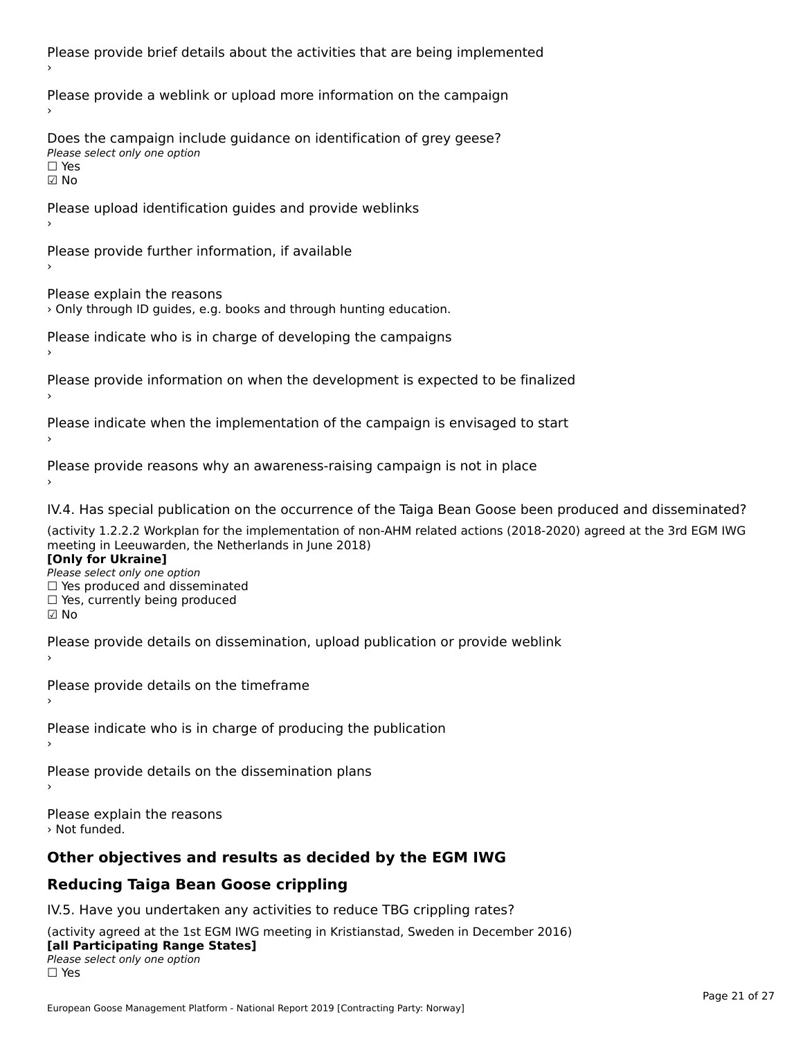Please provide brief details about the activities that are being implemented Please provide a weblink or upload more information on the campaign Does the campaign include guidance on identification of grey geese? **DOCS THE CAMPAIGN MCT**<br>Please select only one option ☑ NoPlease upload identification guides and provide weblinks Please provide further information, if available Please explain the reasons › Only through ID guides, e.g. books and through hunting education. Please indicate who is in charge of developing the campaigns Please provide information on when the development is expected to be finalized Please indicate when the implementation of the campaign is envisaged to start Please provide reasons why an awareness-raising campaign is not in place IV.4. Has special publication on the occurrence of the Taiga Bean Goose been produced and disseminated? (activity 1.2.2.2 Workplan for the implementation of non-AHM related actions (2018-2020) agreed at the 3rd EGM IWG **[Only for Ukraine] Please select only one option** *Please select only one option*<br>□ Yes produced and disseminated □ Tes produced and dissemmate<br>□ Yes, currently being produced  $\boxtimes$  No Please provide details on dissemination, upload publication or provide weblink Please provide details on the timeframe Please indicate who is in charge of producing the publication Please provide details on the dissemination plans Please explain the reasons › Not funded.**Other objectives and results as decided by the EGM IWG Reducing Taiga Bean Goose crippling**

### IV.5. Have you undertaken any activities to reduce TBG crippling rates?

(activity agreed at the 1st EGM IWG meeting in Kristianstad, Sweden in December 2016) **[all Participating Range States]** Please select only one option☐ Yes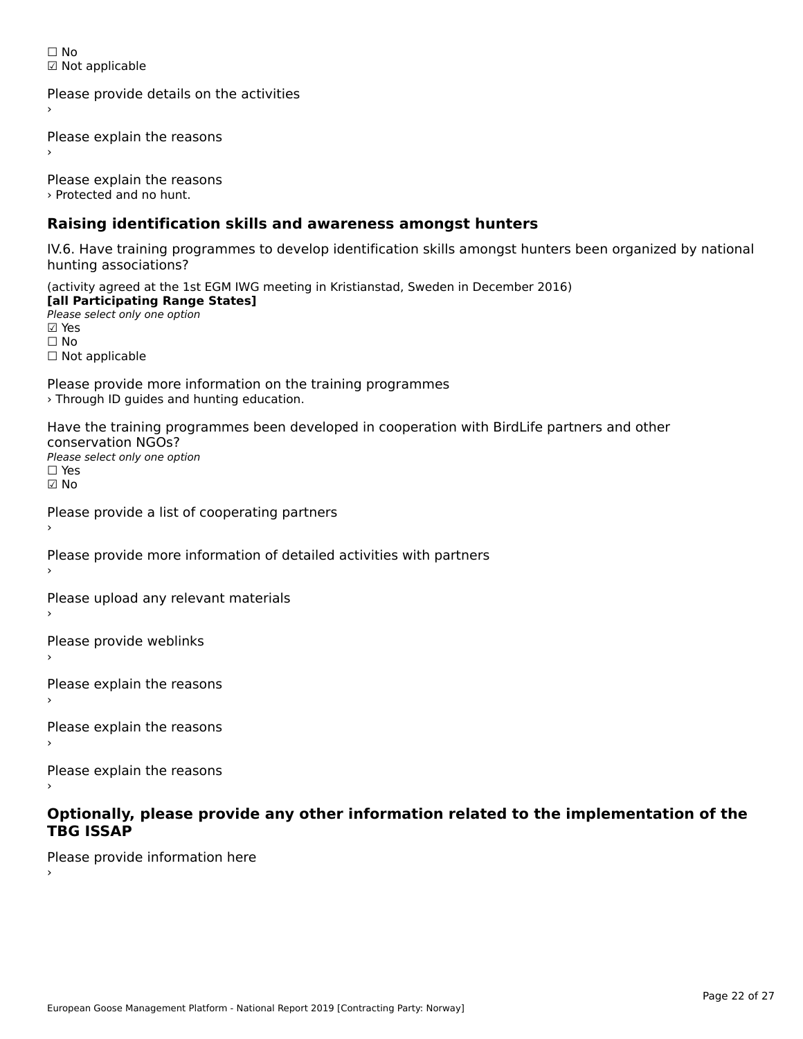☐ No☑ Not applicable

Please provide details on the activities

Please explain the reasons

Please explain the reasons › Protected and no hunt.

### **Raising identification skills and awareness amongst hunters**

IV.6. Have training programmes to develop identification skills amongst hunters been organized by national rv.o. riave training pro<br>hunting associations?

(activity agreed at the 1st EGM IWG meeting in Kristianstad, Sweden in December 2016) **[all Participating Range States] Fair T articipating Range**<br>Please select only one option

☐ No□ Not applicable

Please provide more information on the training programmes › Through ID guides and hunting education.

Have the training programmes been developed in cooperation with BirdLife partners and other conservation NGOs? Please select only one option☐ Yes

☑ No

›

Please provide a list of cooperating partners

Please provide more information of detailed activities with partners

Please upload any relevant materials

Please provide weblinks

Please explain the reasons

Please explain the reasons›

Please explain the reasons

# **Optionally, please provide any other information related to the implementation of the TBG ISSAP**

Please provide information here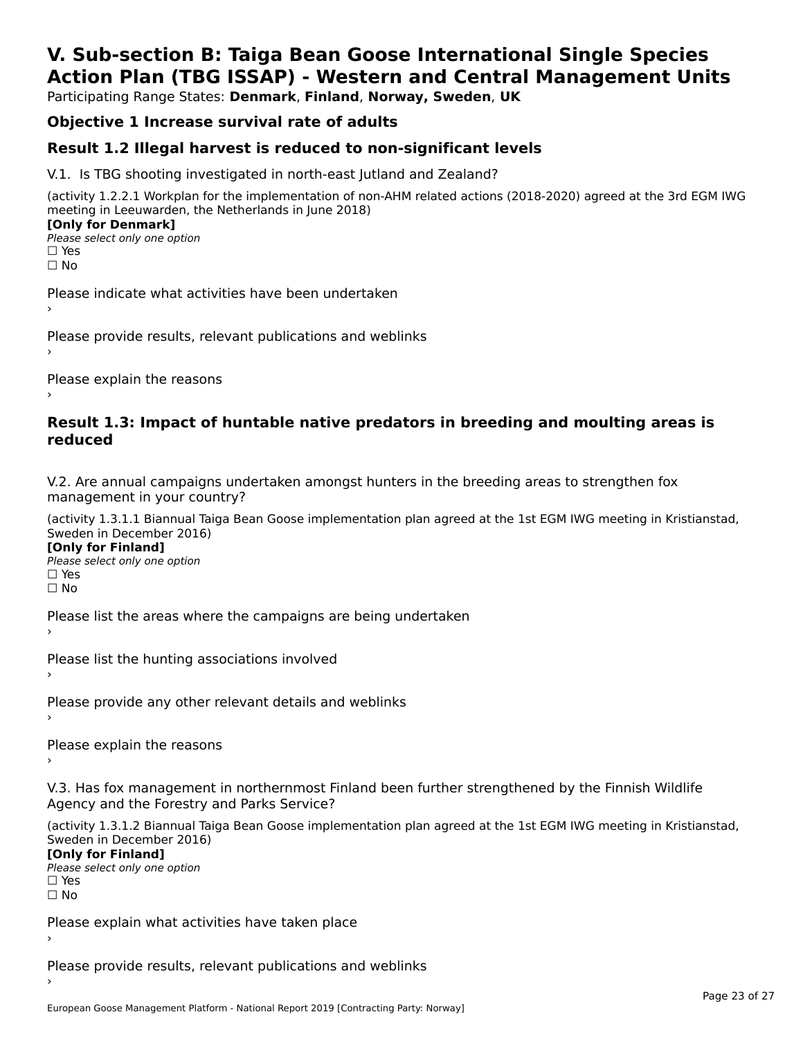# **V. Sub-section B: Taiga Bean Goose International Single SpeciesAction Plan (TBG ISSAP) - Western and Central Management Units**

Participating Range States: **Denmark**, **Finland**, **Norway, Sweden**, **UK**

# **Objective 1 Increase survival rate of adults**

### **Result 1.2 Illegal harvest is reduced to non-significant levels**

V.1. Is TBG shooting investigated in north-east Jutland and Zealand?

(activity 1.2.2.1 Workplan for the implementation of non-AHM related actions (2018-2020) agreed at the 3rd EGM IWG meeting in Leeuwarden, the Netherlands in June 2018) **[Only for Denmark] LOTTLY TOT DETITIONS**<br>Please select only one option

*riease*<br>□ Yes<br>□ No

Please indicate what activities have been undertaken›

Please provide results, relevant publications and weblinks ›

Please explain the reasons

#### **Result 1.3: Impact of huntable native predators in breeding and moulting areas is reduced**

V.2. Are annual campaigns undertaken amongst hunters in the breeding areas to strengthen fox v.z. Are annual campaigns und<br>management in your country?

(activity 1.3.1.1 Biannual Taiga Bean Goose implementation plan agreed at the 1st EGM IWG meeting in Kristianstad, Sweden in December 2016)

**[Only for Finland]** Please select only one optionriease<br>□ Yes ים וכ<br>⊡ No

Please list the areas where the campaigns are being undertaken

Please list the hunting associations involved

Please provide any other relevant details and weblinks ›

Please explain the reasons›

V.3. Has fox management in northernmost Finland been further strengthened by the Finnish Wildlife v.5. Has fox management in northernmost F<br>Agency and the Forestry and Parks Service?

(activity 1.3.1.2 Biannual Taiga Bean Goose implementation plan agreed at the 1st EGM IWG meeting in Kristianstad, Sweden in December 2016) Sweden in December 2016)

[Only for Finland]

**Please select only one option** □ Yes<br>□ No

Please explain what activities have taken place

Please provide results, relevant publications and weblinks ›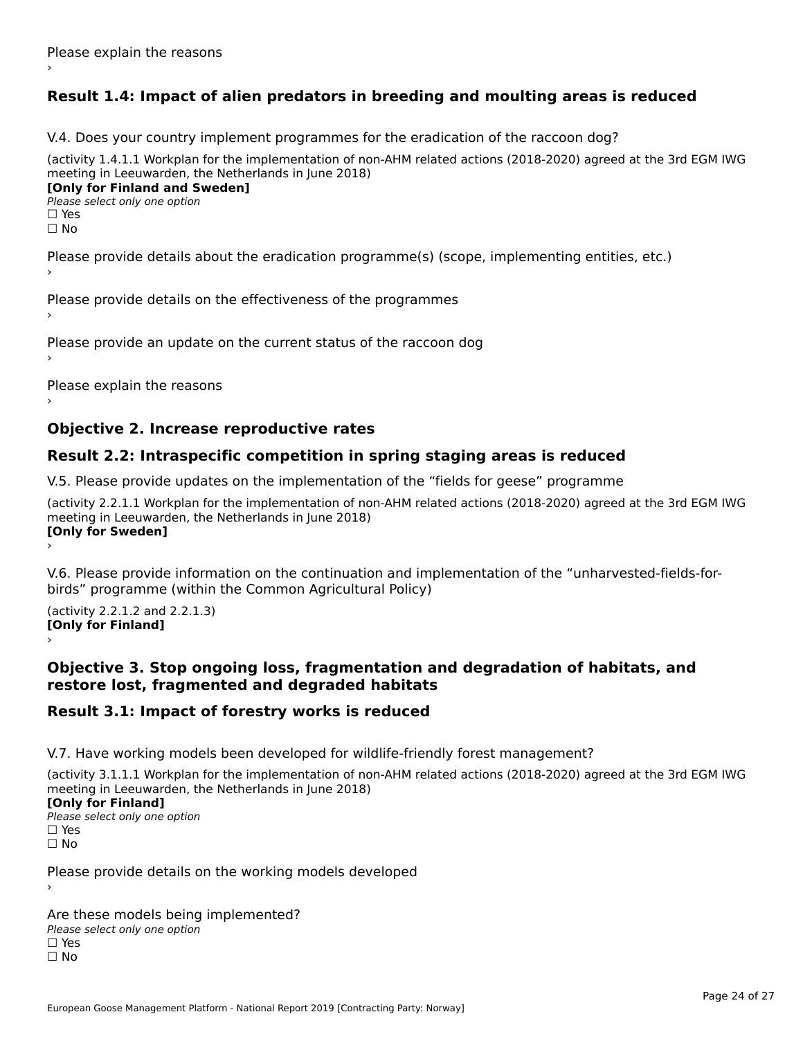# **Result 1.4: Impact of alien predators in breeding and moulting areas is reduced**

V.4. Does your country implement programmes for the eradication of the raccoon dog?

(activity 1.4.1.1 Workplan for the implementation of non-AHM related actions (2018-2020) agreed at the 3rd EGM IWG meeting in Leeuwarden, the Netherlands in June 2018) **[Only for Finland and Sweden]**

**Please select only one option** 

□ Yes<br>□ No

Please provide details about the eradication programme(s) (scope, implementing entities, etc.)

Please provide details on the effectiveness of the programmes

Please provide an update on the current status of the raccoon dog

Please explain the reasons

#### **Objective 2. Increase reproductive rates**

#### **Result 2.2: Intraspecific competition in spring staging areas is reduced**

V.5. Please provide updates on the implementation of the "fields for geese" programme

(activity 2.2.1.1 Workplan for the implementation of non-AHM related actions (2018-2020) agreed at the 3rd EGM IWG meeting in Leeuwarden, the Netherlands in June 2018) Loury for Swedent

V.6. Please provide information on the continuation and implementation of the "unharvested-fields-forbirds" programme (within the Common Agricultural Policy)birds" programme (within the Common Agricultural Policy)

(activity 2.2.1.2 and 2.2.1.3) **[Only for Finland]** ›

#### **Objective 3. Stop ongoing loss, fragmentation and degradation of habitats, and restore lost, fragmented and degraded habitats**

#### **Result 3.1: Impact of forestry works is reduced**

V.7. Have working models been developed for wildlife-friendly forest management?

(activity 3.1.1.1 Workplan for the implementation of non-AHM related actions (2018-2020) agreed at the 3rd EGM IWG meeting in Leeuwarden, the Netherlands in June 2018)

#### **[Only for Finland]**

**Please select only one option** □ Yes<br>□ No

Please provide details on the working models developed

Are these models being implemented? ∩ne enese moders being<br>Please select only one option □ Yes<br>□ No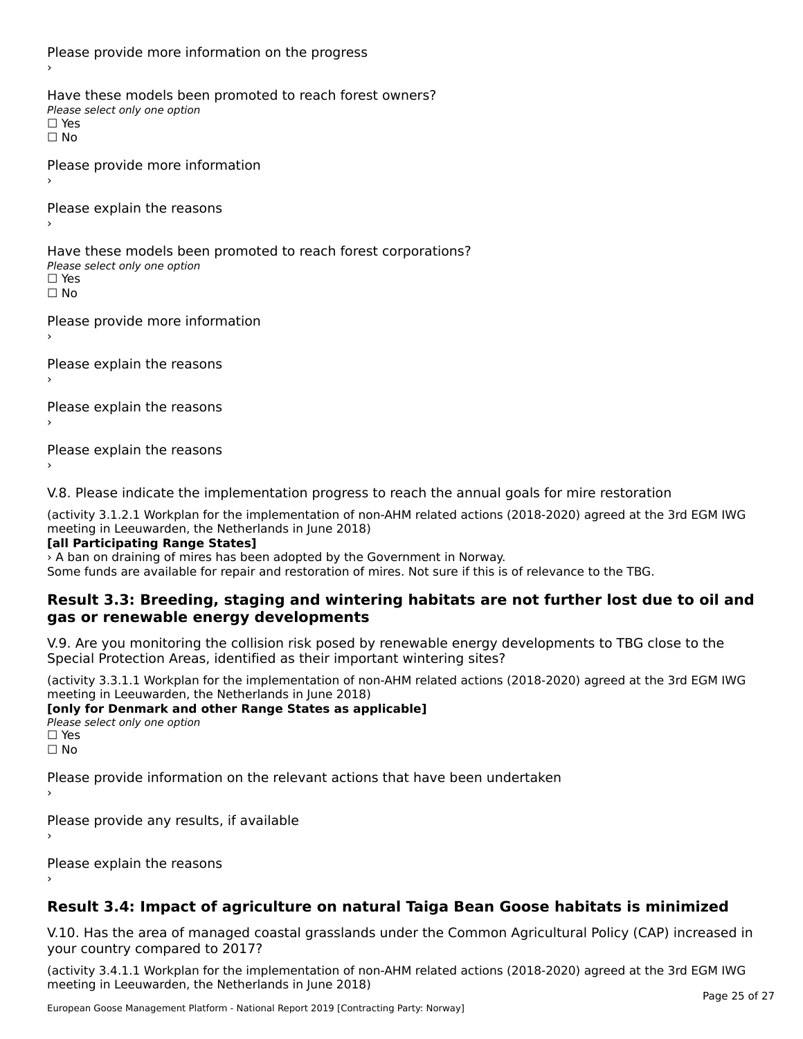Please provide more information on the progress Have these models been promoted to reach forest owners? ∩ave these models bee<br>Please select only one option □ Yes<br>□ No Please provide more information›Please explain the reasons ›Have these models been promoted to reach forest corporations? ∩ave these models bee<br>Please select only one option

□ Yes<br>□ No

Please provide more information

Please explain the reasons ›

Please explain the reasons

Please explain the reasons›

V.8. Please indicate the implementation progress to reach the annual goals for mire restoration

(activity 3.1.2.1 Workplan for the implementation of non-AHM related actions (2018-2020) agreed at the 3rd EGM IWG meeting in Leeuwarden, the Netherlands in June 2018)

#### **[all Participating Range States]**

› A ban on draining of mires has been adopted by the Government in Norway.

Some funds are available for repair and restoration of mires. Not sure if this is of relevance to the TBG.

#### **Result 3.3: Breeding, staging and wintering habitats are not further lost due to oil andgas or renewable energy developments**gas or renewable energy developments

V.9. Are you monitoring the collision risk posed by renewable energy developments to TBG close to the Special Protection Areas, identified as their important wintering sites?

(activity 3.3.1.1 Workplan for the implementation of non-AHM related actions (2018-2020) agreed at the 3rd EGM IWG meeting in Leeuwarden, the Netherlands in June 2018)

**[only for Denmark and other Range States as applicable] Please select only one option** □ Yes<br>□ No

Please provide information on the relevant actions that have been undertaken ›

Please provide any results, if available

Please explain the reasons

# **Result 3.4: Impact of agriculture on natural Taiga Bean Goose habitats is minimized**

V.10. Has the area of managed coastal grasslands under the Common Agricultural Policy (CAP) increased in

(activity 3.4.1.1 Workplan for the implementation of non-AHM related actions (2018-2020) agreed at the 3rd EGM IWG meeting in Leeuwarden, the Netherlands in June 2018)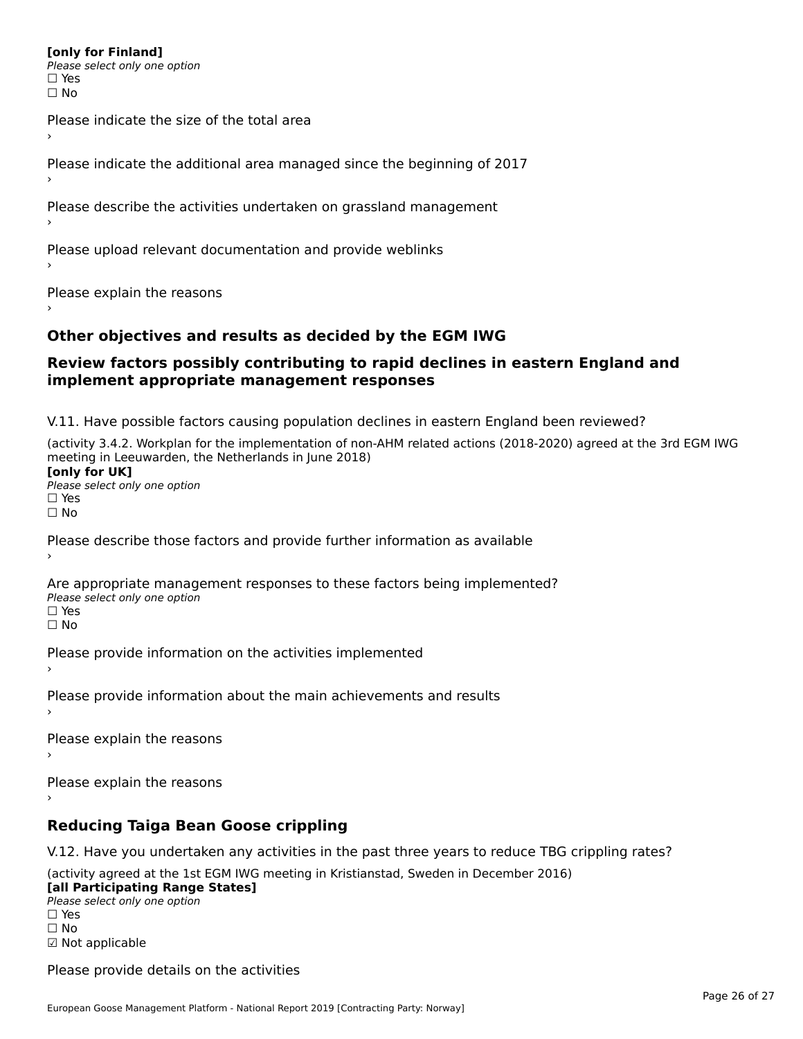#### **[only for Finland]**

**Please select only one option** ים וכ∍<br>⊡ No

Please indicate the size of the total area›

Please indicate the additional area managed since the beginning of 2017

Please describe the activities undertaken on grassland management

Please upload relevant documentation and provide weblinks

Please explain the reasons

#### **Other objectives and results as decided by the EGM IWG**

#### **Review factors possibly contributing to rapid declines in eastern England and implement appropriate management responses**implement appropriate management responses

V.11. Have possible factors causing population declines in eastern England been reviewed?

(activity 3.4.2. Workplan for the implementation of non-AHM related actions (2018-2020) agreed at the 3rd EGM IWG meeting in Leeuwarden, the Netherlands in June 2018) **[only for UK]** Please select only one optionriease<br>□ Yes □ Yes<br>□ No

Please describe those factors and provide further information as available

Are appropriate management responses to these factors being implemented? Please select only one option □ Yes<br>□ No

Please provide information on the activities implemented

Please provide information about the main achievements and results

Please explain the reasons

Please explain the reasons

# **Reducing Taiga Bean Goose crippling**

V.12. Have you undertaken any activities in the past three years to reduce TBG crippling rates?

(activity agreed at the 1st EGM IWG meeting in Kristianstad, Sweden in December 2016)

**[all Participating Range States] Law Tarticipating Range**<br>Please select only one option □ Yes<br>□ No

☑ Not applicable

Please provide details on the activities